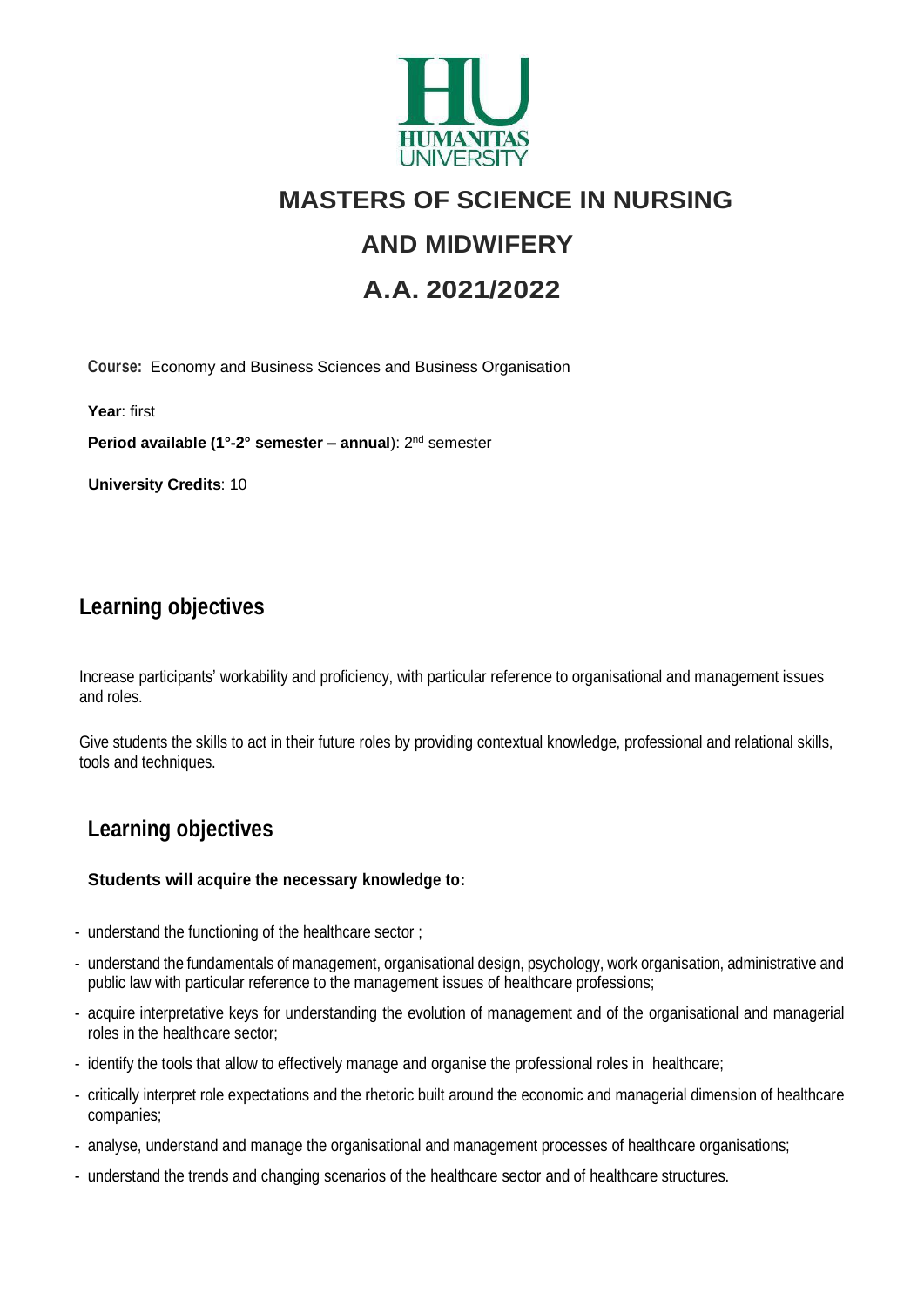

# **MASTERS OF SCIENCE IN NURSING**

# **AND MIDWIFERY**

# **A.A. 2021/2022**

**Course:** Economy and Business Sciences and Business Organisation

**Year**: first

**Period available (1°-2° semester – annual**): 2nd semester

**University Credits**: 10

# **Learning objectives**

Increase participants' workability and proficiency, with particular reference to organisational and management issues and roles.

Give students the skills to act in their future roles by providing contextual knowledge, professional and relational skills, tools and techniques.

# **Learning objectives**

#### **Students will acquire the necessary knowledge to:**

- understand the functioning of the healthcare sector ;
- understand the fundamentals of management, organisational design, psychology, work organisation, administrative and public law with particular reference to the management issues of healthcare professions;
- acquire interpretative keys for understanding the evolution of management and of the organisational and managerial roles in the healthcare sector;
- identify the tools that allow to effectively manage and organise the professional roles in healthcare;
- critically interpret role expectations and the rhetoric built around the economic and managerial dimension of healthcare companies;
- analyse, understand and manage the organisational and management processes of healthcare organisations;
- understand the trends and changing scenarios of the healthcare sector and of healthcare structures.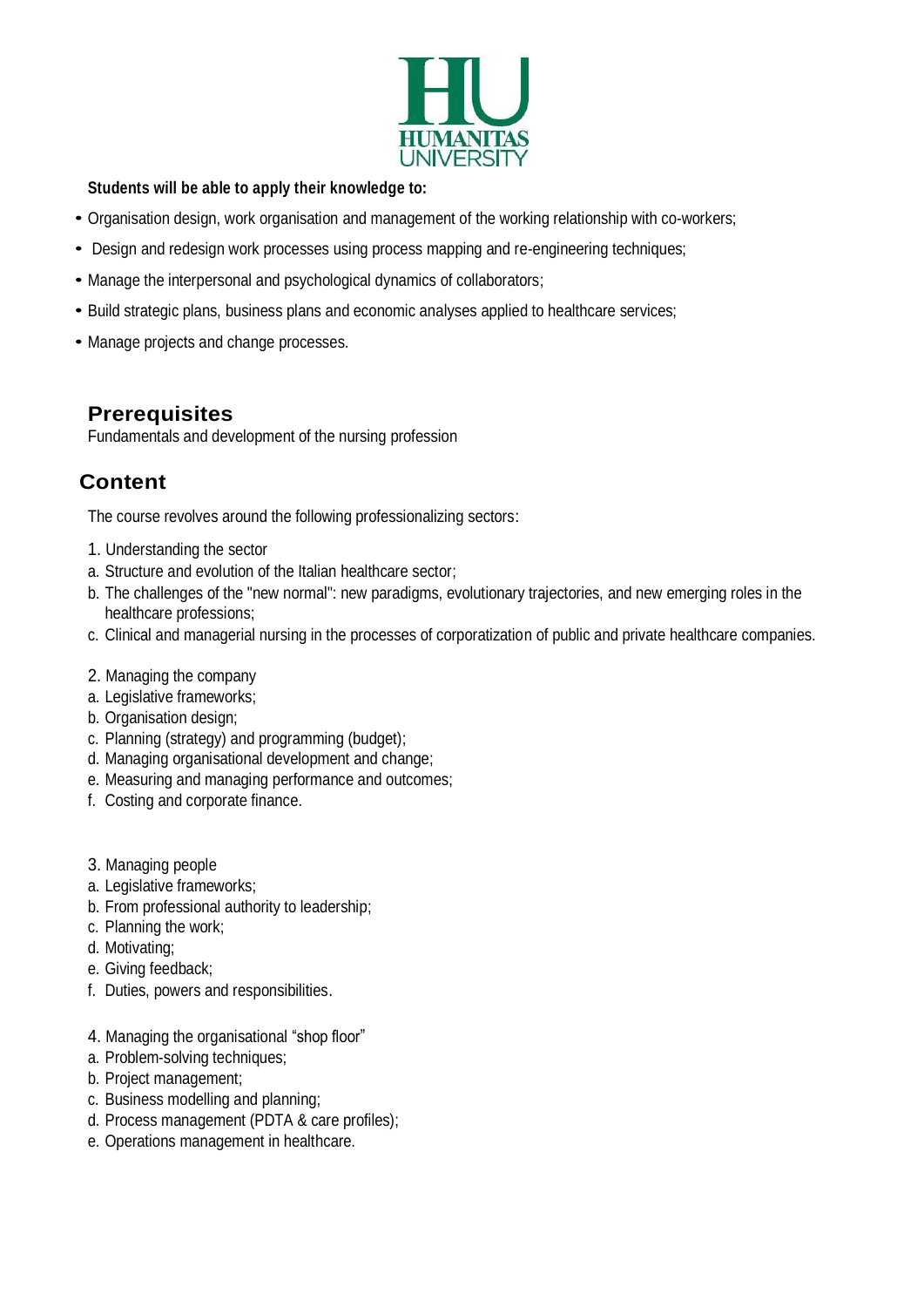

#### **Students will be able to apply their knowledge to:**

- Organisation design, work organisation and management of the working relationship with co-workers;
- Design and redesign work processes using process mapping and re-engineering techniques;
- Manage the interpersonal and psychological dynamics of collaborators;
- Build strategic plans, business plans and economic analyses applied to healthcare services;
- Manage projects and change processes.

### **Prerequisites**

Fundamentals and development of the nursing profession

# **Content**

The course revolves around the following professionalizing sectors:

- 1. Understanding the sector
- a. Structure and evolution of the Italian healthcare sector;
- b. The challenges of the "new normal": new paradigms, evolutionary trajectories, and new emerging roles in the healthcare professions;
- c. Clinical and managerial nursing in the processes of corporatization of public and private healthcare companies.
- 2. Managing the company
- a. Legislative frameworks;
- b. Organisation design;
- c. Planning (strategy) and programming (budget);
- d. Managing organisational development and change;
- e. Measuring and managing performance and outcomes;
- f. Costing and corporate finance.
- 3. Managing people
- a. Legislative frameworks;
- b. From professional authority to leadership;
- c. Planning the work;
- d. Motivating;
- e. Giving feedback;
- f. Duties, powers and responsibilities.
- 4. Managing the organisational "shop floor"
- a. Problem-solving techniques;
- b. Project management;
- c. Business modelling and planning;
- d. Process management (PDTA & care profiles);
- e. Operations management in healthcare.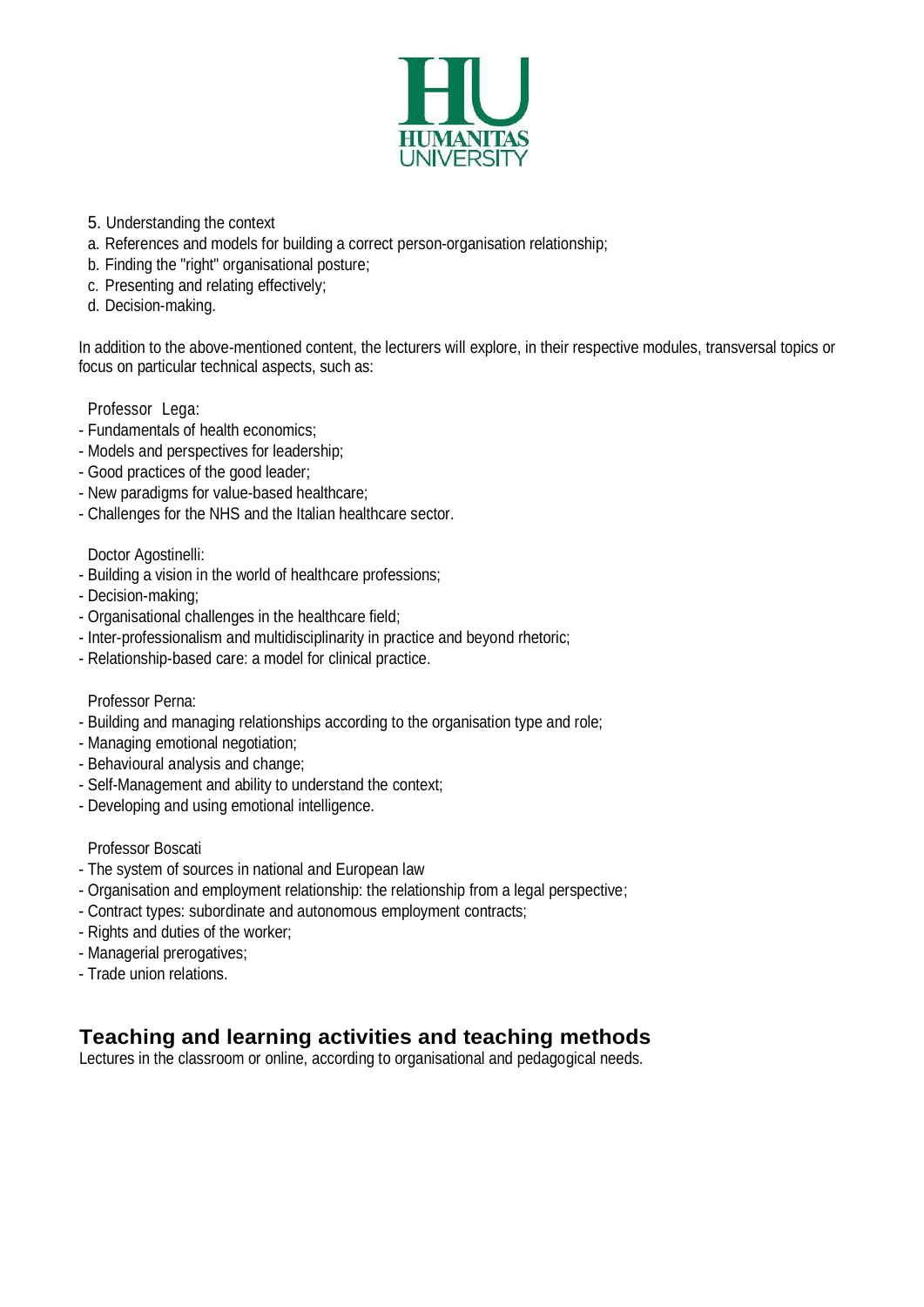

- 5. Understanding the context
- a. References and models for building a correct person-organisation relationship;
- b. Finding the "right" organisational posture;
- c. Presenting and relating effectively;
- d. Decision-making.

In addition to the above-mentioned content, the lecturers will explore, in their respective modules, transversal topics or focus on particular technical aspects, such as:

#### Professor Lega:

- Fundamentals of health economics;
- Models and perspectives for leadership;
- Good practices of the good leader;
- New paradigms for value-based healthcare;
- Challenges for the NHS and the Italian healthcare sector.

#### Doctor Agostinelli:

- Building a vision in the world of healthcare professions;
- Decision-making;
- Organisational challenges in the healthcare field;
- Inter-professionalism and multidisciplinarity in practice and beyond rhetoric;
- Relationship-based care: a model for clinical practice.

#### Professor Perna:

- Building and managing relationships according to the organisation type and role;
- Managing emotional negotiation;
- Behavioural analysis and change;
- Self-Management and ability to understand the context;
- Developing and using emotional intelligence.

#### Professor Boscati

- The system of sources in national and European law
- Organisation and employment relationship: the relationship from a legal perspective;
- Contract types: subordinate and autonomous employment contracts;
- Rights and duties of the worker;
- Managerial prerogatives;
- Trade union relations.

### **Teaching and learning activities and teaching methods**

Lectures in the classroom or online, according to organisational and pedagogical needs.